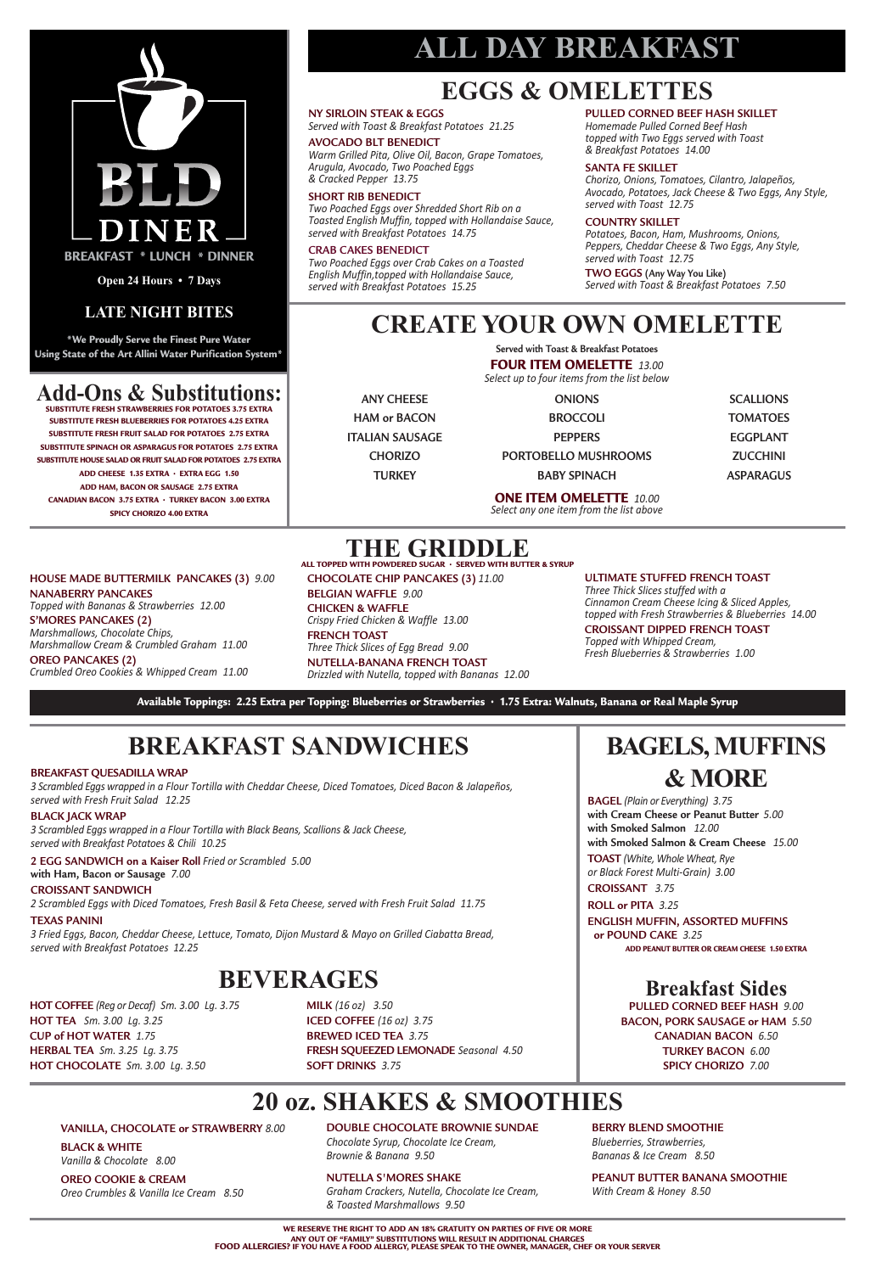## **BAGELS, MUFFINS & MORE**

**BAGEL** *(Plain or Everything) 3.75* **with Cream Cheese or Peanut Butter** *5.00* **with Smoked Salmon** *12.00* **with Smoked Salmon & Cream Cheese** *15.00*

#### **WE RESERVE THE RIGHT TO ADD AN 18% GRATUITY ON PARTIES OF FIVE OR MORE** ANY OUT OF "FAMILY" SUBSTITUTIONS WILL RESULT IN ADDITIONAL CHARGES.<br>FOOD ALLERGIES? IF YOU HAVE A FOOD ALLERGY, PLEASE SPEAK TO THE OWNER, MANAGER, CHEF OR YOUR SERVER

**TOAST** *(White, Whole Wheat, Rye or Black Forest Multi-Grain) 3.00*

#### **CROISSANT** *3.75* **ROLL or PITA** *3.25*

**ENGLISH MUFFIN, ASSORTED MUFFINS or POUND CAKE** *3.25* **ADD PEANUT BUTTER OR CREAM CHEESE 1.50 EXTRA**

# **BREAKFAST SANDWICHES**

# **ALL DAY BREAKFAST**

### **Breakfast Sides**

**PULLED CORNED BEEF HASH** *9.00* **BACON, PORK SAUSAGE or HAM** *5.50* **CANADIAN BACON** *6.50* **TURKEY BACON** *6.00* **SPICY CHORIZO** *7.00*

## **EGGS & OMELETTES**

### **THE GRIDDLE ALL TOPPED WITH POWDERED SUGAR • SERVED WITH BUTTER & SYRUP**

### **NY SIRLOIN STEAK & EGGS**

*Served with Toast & Breakfast Potatoes 21.25*

#### **AVOCADO BLT BENEDICT**

*Warm Grilled Pita, Olive Oil, Bacon, Grape Tomatoes, Arugula, Avocado, Two Poached Eggs & Cracked Pepper 13.75*

#### **SHORT RIB BENEDICT**

*Two Poached Eggs over Shredded Short Rib on a Toasted English Muffin, topped with Hollandaise Sauce, served with Breakfast Potatoes 14.75*

#### **CRAB CAKES BENEDICT**

*Two Poached Eggs over Crab Cakes on a Toasted English Muffin,topped with Hollandaise Sauce, served with Breakfast Potatoes 15.25*

#### **PULLED CORNED BEEF HASH SKILLET**

*Homemade Pulled Corned Beef Hash topped with Two Eggs served with Toast & Breakfast Potatoes 14.00*

3 Scrambled Eggs wrapped in a Flour Tortilla with Cheddar Cheese, Diced Tomatoes, Diced Bacon & Jalapeños, *served with Fresh Fruit Salad 12.25*

#### **SANTA FE SKILLET**

*Chorizo, Onions, Tomatoes, Cilantro, Jalapeños, Avocado, Potatoes, Jack Cheese & Two Eggs, Any Style, served with Toast 12.75*

#### **COUNTRY SKILLET**

*Potatoes, Bacon, Ham, Mushrooms, Onions, Peppers, Cheddar Cheese & Two Eggs, Any Style, served with Toast 12.75*

**TWO EGGS (Any Way You Like)** *Served with Toast & Breakfast Potatoes 7.50*

#### **HOUSE MADE BUTTERMILK PANCAKES (3)** *9.00* **NANABERRY PANCAKES**

*Topped with Bananas & Strawberries 12.00*

**S'MORES PANCAKES (2)** *Marshmallows, Chocolate Chips, Marshmallow Cream & Crumbled Graham 11.00* **OREO PANCAKES (2)** *Crumbled Oreo Cookies & Whipped Cream 11.00* **CHOCOLATE CHIP PANCAKES (3)** *11.00* **BELGIAN WAFFLE** *9.00* **CHICKEN & WAFFLE** *Crispy Fried Chicken & Waffle 13.00* **FRENCH TOAST** *Three Thick Slices of Egg Bread 9.00* **NUTELLA-BANANA FRENCH TOAST** *Drizzled with Nutella, topped with Bananas 12.00*

#### **ULTIMATE STUFFED FRENCH TOAST**

*Three Thick Slices stuffed with a Cinnamon Cream Cheese Icing & Sliced Apples, topped with Fresh Strawberries & Blueberries 14.00*

#### **CROISSANT DIPPED FRENCH TOAST**

*Topped with Whipped Cream, Fresh Blueberries & Strawberries 1.00*

Available Toppings: 2.25 Extra per Topping: Blueberries or Strawberries · 1.75 Extra: Walnuts, Banana or Real Maple Syrup

**HOT COFFEE** *(Reg or Decaf) Sm. 3.00 Lg. 3.75* **HOT TEA** *Sm. 3.00 Lg. 3.25* **CUP of HOT WATER** *1.75* **HERBAL TEA** *Sm. 3.25 Lg. 3.75* **HOT CHOCOLATE** *Sm. 3.00 Lg. 3.50*

**MILK** *(16 oz) 3.50* **ICED COFFEE** *(16 oz) 3.75* **BREWED ICED TEA** *3.75* **FRESH SQUEEZED LEMONADE** *Seasonal 4.50* **SOFT DRINKS** *3.75*

## **BEVERAGES**

#### **BREAKFAST QUESADILLA WRAP**

#### **BLACK JACK WRAP**

*3 Scrambled Eggs wrapped in a Flour Tortilla with Black Beans, Scallions & Jack Cheese, served with Breakfast Potatoes & Chili 10.25*

#### **2 EGG SANDWICH on a Kaiser Roll** *Fried or Scrambled 5.00*

**with Ham, Bacon or Sausage** *7.00*

#### **CROISSANT SANDWICH**

*2 Scrambled Eggs with Diced Tomatoes, Fresh Basil & Feta Cheese, served with Fresh Fruit Salad 11.75*

#### **TEXAS PANINI**

*3 Fried Eggs, Bacon, Cheddar Cheese, Lettuce, Tomato, Dijon Mustard & Mayo on Grilled Ciabatta Bread, served with Breakfast Potatoes 12.25*

**\*We Proudly Serve the Finest Pure Water Using State of the Art Allini Water Purification System\***



**Open 24 Hours • 7 Days**

# **LATE NIGHT BITES CREATE YOUR OWN OMELETTE**

**Served with Toast & Breakfast Potatoes FOUR ITEM OMELETTE** *13.00 Select up to four items from the list below*

**ONE ITEM OMELETTE** *10.00 Select any one item from the list above*

| <b>ANY CHEFSE</b>      |
|------------------------|
| HAM or BACON           |
| <b>ITALIAN SAUSAGE</b> |
| <b>CHORIZO</b>         |
| <b>TURKFY</b>          |

| <b>ONIONS</b>        | <b>SCALLIONS</b> |
|----------------------|------------------|
| <b>BROCCOLI</b>      | <b>TOMATOES</b>  |
| <b>PEPPERS</b>       | EGGPLANT         |
| PORTOBELLO MUSHROOMS | <b>ZUCCHINI</b>  |
| <b>BABY SPINACH</b>  | ASPARAGUS        |

## **20 oz. SHAKES & SMOOTHIES**

**VANILLA, CHOCOLATE or STRAWBERRY** *8.00*

**BLACK & WHITE** *Vanilla & Chocolate 8.00*

**OREO COOKIE & CREAM** *Oreo Crumbles & Vanilla Ice Cream 8.50*

#### **DOUBLE CHOCOLATE BROWNIE SUNDAE**

*Chocolate Syrup, Chocolate Ice Cream, Brownie & Banana 9.50*

#### **NUTELLA S'MORES SHAKE**

*Graham Crackers, Nutella, Chocolate Ice Cream, & Toasted Marshmallows 9.50*

#### **BERRY BLEND SMOOTHIE**

*Blueberries, Strawberries, Bananas & Ice Cream 8.50*

#### **PEANUT BUTTER BANANA SMOOTHIE**

*With Cream & Honey 8.50*

## **Add-Ons & Substitutions:**

**SUBSTITUTE FRESH STRAWBERRIES FOR POTATOES 3.75 EXTRA SUBSTITUTE FRESH BLUEBERRIES FOR POTATOES 4.25 EXTRA SUBSTITUTE FRESH FRUIT SALAD FOR POTATOES 2.75 EXTRA SUBSTITUTE SPINACH OR ASPARAGUS FOR POTATOES 2.75 EXTRA SUBSTITUTE HOUSE SALAD OR FRUIT SALAD FOR POTATOES 2.75 EXTRA ADD CHEESE 1.35 EXTRA • EXTRA EGG 1.50 ADD HAM, BACON OR SAUSAGE 2.75 EXTRA CANADIAN BACON 3.75 EXTRA • TURKEY BACON 3.00 EXTRA SPICY CHORIZO 4.00 EXTRA**